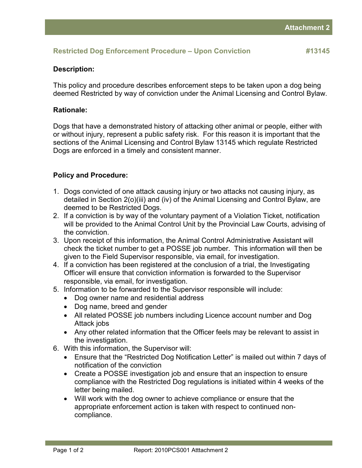### **Restricted Dog Enforcement Procedure – Upon Conviction #13145**

### **Description:**

This policy and procedure describes enforcement steps to be taken upon a dog being deemed Restricted by way of conviction under the Animal Licensing and Control Bylaw.

### **Rationale:**

Dogs that have a demonstrated history of attacking other animal or people, either with or without injury, represent a public safety risk. For this reason it is important that the sections of the Animal Licensing and Control Bylaw 13145 which regulate Restricted Dogs are enforced in a timely and consistent manner.

# **Policy and Procedure:**

- 1. Dogs convicted of one attack causing injury or two attacks not causing injury, as detailed in Section 2(o)(iii) and (iv) of the Animal Licensing and Control Bylaw, are deemed to be Restricted Dogs.
- 2. If a conviction is by way of the voluntary payment of a Violation Ticket, notification will be provided to the Animal Control Unit by the Provincial Law Courts, advising of the conviction.
- 3. Upon receipt of this information, the Animal Control Administrative Assistant will check the ticket number to get a POSSE job number. This information will then be given to the Field Supervisor responsible, via email, for investigation.
- 4. If a conviction has been registered at the conclusion of a trial, the Investigating Officer will ensure that conviction information is forwarded to the Supervisor responsible, via email, for investigation.
- 5. Information to be forwarded to the Supervisor responsible will include:
	- Dog owner name and residential address
	- Dog name, breed and gender
	- All related POSSE job numbers including Licence account number and Dog Attack jobs
	- Any other related information that the Officer feels may be relevant to assist in the investigation.
- 6. With this information, the Supervisor will:
	- Ensure that the "Restricted Dog Notification Letter" is mailed out within 7 days of notification of the conviction
	- Create a POSSE investigation job and ensure that an inspection to ensure compliance with the Restricted Dog regulations is initiated within 4 weeks of the letter being mailed.
	- Will work with the dog owner to achieve compliance or ensure that the appropriate enforcement action is taken with respect to continued noncompliance.